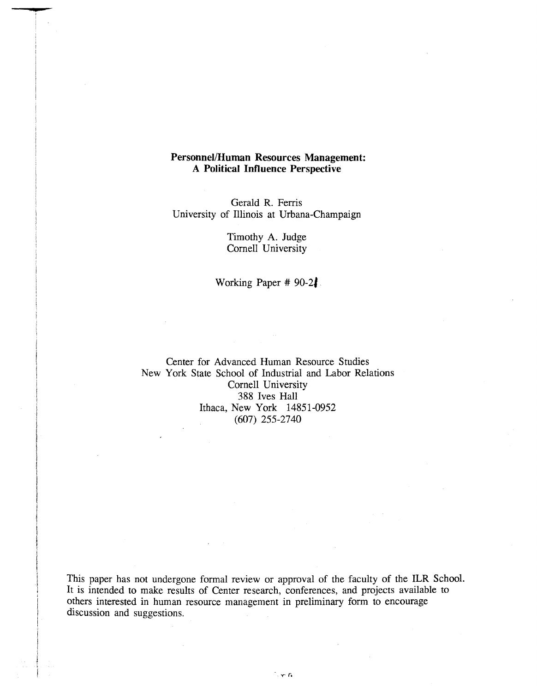# **Personnel/Human Resources Management: A Political Influence Perspective**

Gerald R. Ferris University of Illinois at Urbana-Champaign

> Timothy A. Judge Cornell University

Working Paper # 90-21

Center for Advanced Human Resource Studies New York State School of Industrial and Labor Relations Cornell University 388 Ives Hall Ithaca, New York 14851-0952 (607) 255-2740

This paper has not undergone formal review or approval of the faculty of the ILR School. It is intended to make results of Center research, conferences, and projects available to others interested in human resource management in preliminary form to encourage discussion and suggestions.

- y-*r,*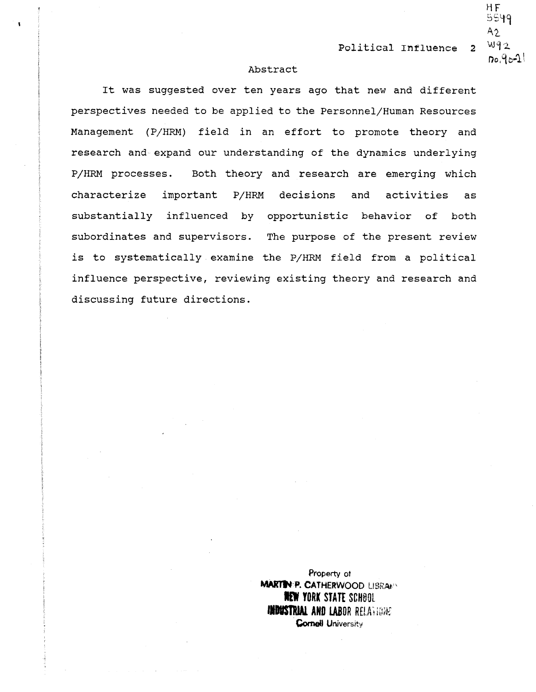# Abstract

It was suggested over ten years ago that new and different perspectives needed to be applied to the Personnel/Human Resources Management (P/HRM) field in an effort to promote theory and research and expand our understanding of the dynamics underlying P/HRM processes. Both theory and research are emerging which characterize important P/HRM decisions and activities substantially influenced by opportunistic behavior of both subordinates and supervisors. The purpose of the present review is to systematically examine the P/HRM field from a political influence perspective, reviewing existing theory and research and discussing future directions. as

> Property of **MARTIN-P. CATHERWOOD LIBRAFY . TORK STATE** SCH60L **INDUSTRIAL AND LABOR RELATIONS Cornell University**

 $HF$ SSlf'9  $A2$ .  $W<sub>12</sub>$  $D_0.9b-1$ 

2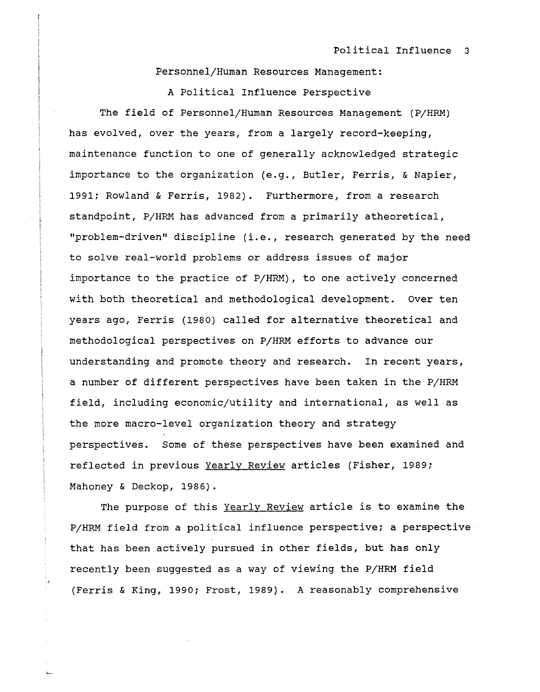Personnel/Human Resources Management:

A Political Influence Perspective The field of Personnel/Human Resources Management (P/HRM) has evolved, over the years, from a largely record-keeping, maintenance function to one of generally acknowledged strategic importance to the organization (e.g., Butler, Ferris, & Napier, 1991; Rowland & Ferris, 1982). Furthermore, from a research standpoint, P/HRM has advanced from a primarily atheoretical, "problem-driven" discipline (i.e., research generated by the need to solve real-world problems or address issues of major importance to the practice of P/HRM), to one actively concerned with both theoretical and methodological development. Over ten years ago, Ferris (1980) called for alternative theoretical and methodological perspectives on P/HRM efforts to advance our understanding and promote theory and research. In recent years, a number of different perspectives have been taken in the P/HRM field, including economic/utility and international, as well as the more macro-level organization theory and strategy perspectives. Some of these perspectives have been examined and reflected in previous Yearly Review articles (Fisher, 1989; Mahoney & Deckop, 1986).

The purpose of this Yearly Review article is to examine the P/HRM field from a political influence perspective; a perspective that has been actively pursued in other fields, but has only recently been suggested as a way of viewing the P/HRM field (Ferris & King, 1990; Frost, 1989). A reasonably comprehensive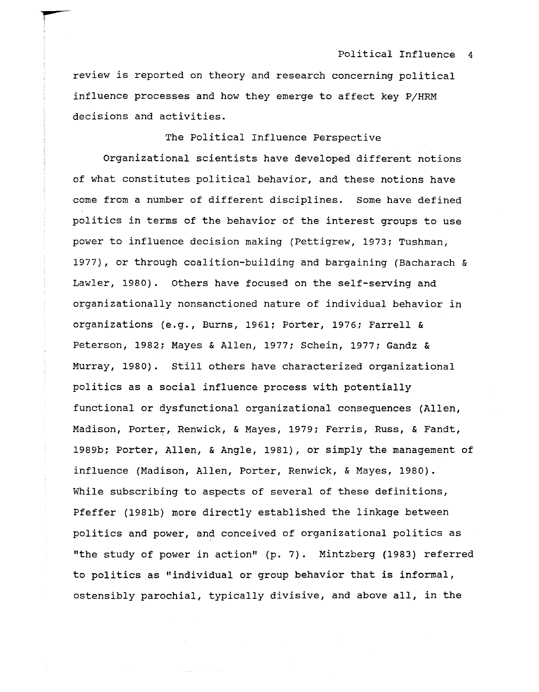review is reported on theory and research concerning political influence processes and how they emerge to affect key P/HRM decisions and activities.

**r-**

The Political Influence Perspective

Organizational scientists have developed different notions of what constitutes political behavior, and these notions have come from a number of different disciplines. Some have defined politics in terms of the behavior of the interest groups to use power to influence decision making (Pettigrew, 1973; Tushman, 1977), or through coalition-building and bargaining (Bacharach & Lawler, 1980). Others have focused on the self-serving and organizationally nonsanctioned nature of individual behavior in organizations (e.g., Burns, 1961; Porter, 1976; Farrell & Peterson, 1982; Mayes & Allen, 1977; Schein, 1977; Gandz & Murray, 1980). still others have characterized organizational politics as a social influence process with potentially functional or dysfunctional organizational consequences (Allen, Madison, Porter, Renwick, & Mayes, 1979; Ferris, Russ, & Fandt, 1989b; Porter, Allen, & Angle, 1981), or simply the management of influence (Madison, Allen, Porter, Renwick, & Mayes, 1980). While subscribing to aspects of several of these definitions, Pfeffer (1981b) more directly established the linkage between politics and power, and conceived of organizational politics as "the study of power in action" (p. 7). Mintzberg (1983) referred to politics as "individual or group behavior that is informal, ostensibly parochial, typically divisive, and above all, in the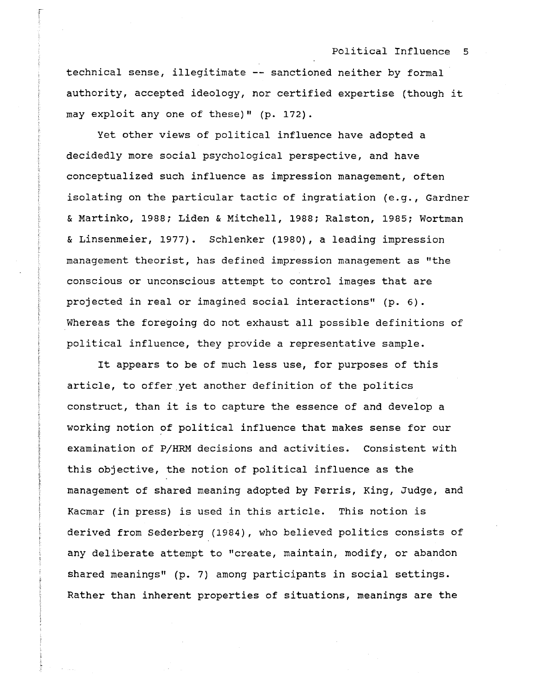technical sense, illegitimate **--** sanctioned neither by formal authority, accepted ideology, nor certified expertise (though it may exploit anyone of these)" (p. 172).

|<br>|<br>|

Yet other views of political influence have adopted a decidedly more social psychological perspective, and have conceptualized such influence as impression management, often isolating on the particular tactic of ingratiation (e.g., Gardner & Martinko, 1988; Liden & Mitchell, 1988; Ralston, 1985; Wortman & Linsenmeier, 1977). Schlenker (1980), a leading impression management theorist, has defined impression management as "the conscious or unconscious attempt to control images that are projected in real or imagined social interactions" (p. 6). Whereas the foregoing do not exhaust all possible definitions of political influence, they provide a representative sample.

It appears to be of much less use, for purposes of this article, to offer yet another definition of the politics construct, than it is to capture the essence of and develop a working notion of political influence that makes sense for our examination of P/HRM decisions and activities. Consistent with this objective, the notion of political influence as the management of shared meaning adopted by Ferris, King, Judge, and Kacmar (in press) is used in this article. This notion is derived from Sederberg (1984), who believed politics consists of any deliberate attempt to "create, maintain, modify, or abandon shared meanings" (p. 7) among participants in social settings. Rather than inherent properties of situations, meanings are the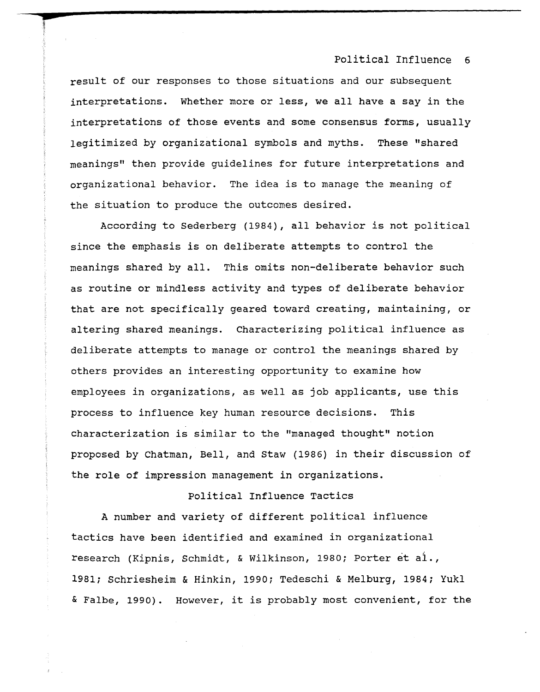result of our responses to those situations and our subsequent interpretations. Whether more or less, we all have a say in the interpretations of those events and some consensus forms, usually legitimized by organizational symbols and myths. These "shared meanings" then provide guidelines for future interpretations and organizational behavior. The idea is to manage the meaning of the situation to produce the outcomes desired.

--r--

f';

According to Sederberg {1984}, all behavior is not political since the emphasis is on deliberate attempts to control the meanings shared by all. This omits non-deliberate behavior such as routine or mindless activity and types of deliberate behavior that are not specifically geared toward creating, maintaining, or altering shared meanings. Characterizing political influence as deliberate attempts to manage or control the meanings shared by others provides an interesting opportunity to examine how employees in organizations, as well as job applicants, use this process to influence key human resource decisions. This characterization is similar to the "managed thought" notion proposed by Chatman, Bell, and Staw (1986) in their discussion of the role of impression management in organizations.

## Political Influence Tactics

A number and variety of different political influence tactics have been identified and examined in organizational research (Kipnis, Schmidt, & wilkinson, 1980; Porter et ai., 1981; Schriesheim & Hinkin, 1990; Tedeschi & Melburg, 1984; Yukl & Falbe, 1990). However, it is probably most convenient, for the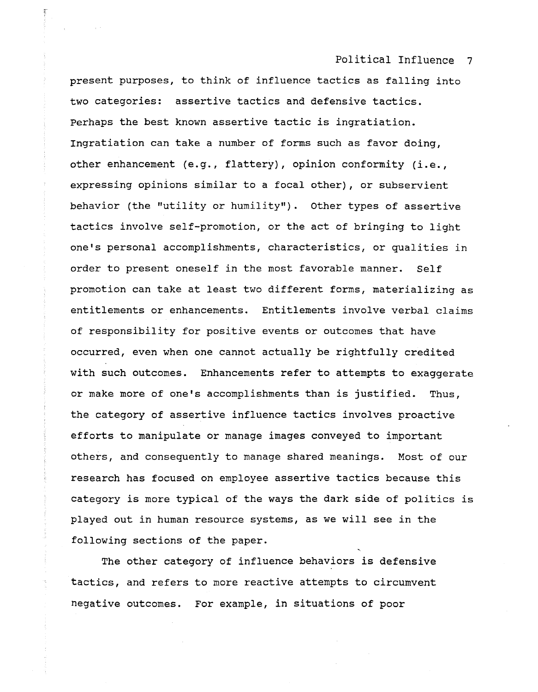present purposes, to think of influence tactics as falling into two categories: assertive tactics and defensive tactics. Perhaps the best known assertive tactic is ingratiation. Ingratiation can take a number of forms such as favor doing, other enhancement (e.g., flattery), opinion conformity (i.e., expressing opinions similar to a focal other), or subservient behavior (the "utility or humility") . other types of assertive tactics involve self-promotion, or the act of bringing to light one's personal accomplishments, characteristics, or qualities in order to present oneself in the most favorable manner. Self promotion can take at least two different forms, materializing as entitlements or enhancements. Entitlements involve verbal claims of responsibility for positive events or outcomes that have occurred, even when one cannot actually be rightfully credited with such outcomes. Enhancements refer to attempts to exaggerate or make more of one's accomplishments than is justified. Thus, the category of assertive influence tactics involves proactive efforts to manipulate or manage images conveyed to important others, and consequently to manage shared meanings. Most of our research has focused on employee assertive tactics because this category is more typical of the ways the dark side of politics is played out in human resource systems, as we will see in the following sections of the paper.

The other category of influence behaviors is defensive tactics, and refers to more reactive attempts to circumvent negative outcomes. For example, in situations of poor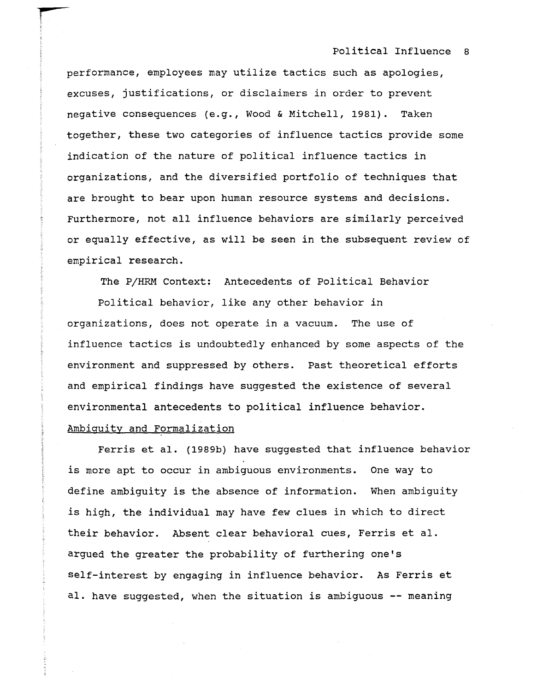performance, employees may utilize tactics such as apologies, excuses, justifications, or disclaimers in order to prevent negative consequences (e.g., Wood & Mitchell, 1981). Taken together, these two categories of influence tactics provide some indication of the nature of political influence tactics in organizations, and the diversified portfolio of techniques that are brought to bear upon human resource systems and decisions. Furthermore, not all influence behaviors are similarly perceived or equally effective, as will be seen in the subsequent review of empirical research.

The P/HRM Context: Antecedents of Political Behavior

Political behavior, like any other behavior in organizations, does not operate in a vacuum. The use of influence tactics is undoubtedly enhanced by some aspects of the environment and suppressed by others. Past theoretical efforts and empirical findings have suggested the existence of several environmental antecedents to political influence behavior.

# Ambiquitv and Formalization

Ferris et al. (1989b) have suggested that influence behavior is more apt to occur in ambiguous environments. One way to define ambiguity is the absence of information. When ambiguity is high, the individual may have few clues in which to direct their behavior. Absent clear behavioral cues, Ferris et al. argued the greater the probability of furthering one's self-interest by engaging in influence behavior. As Ferris et al. have suggested, when the situation is ambiguous -- meaning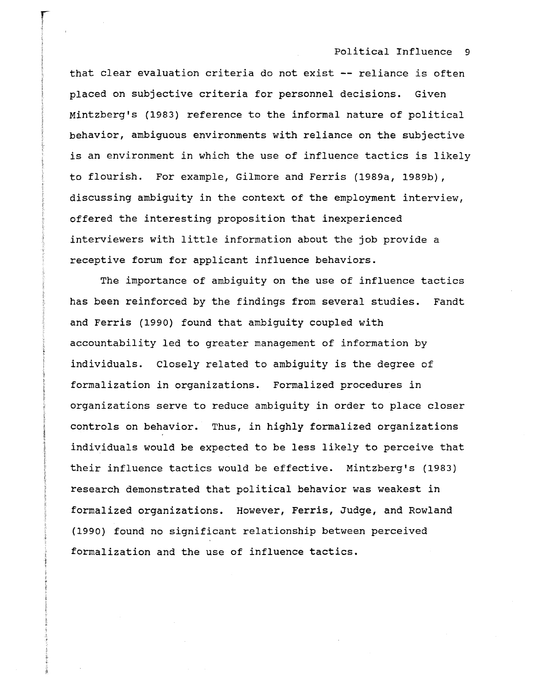that clear evaluation criteria do not exist **--** reliance is often placed on subjective criteria for personnel decisions. Given Mintzberg's (1983) reference to the informal nature of political behavior, ambiguous environments with reliance on the subjective is an environment in which the use of influence tactics is likely to flourish. For example, Gilmore and Ferris (1989a, 1989b), discussing ambiguity in the context of the employment interview, offered the interesting proposition that inexperienced interviewers with little information about the job provide a receptive forum for applicant influence behaviors.

The importance of ambiguity on the use of influence tactics has been reinforced by the findings from several studies. and Ferris (1990) found that ambiguity coupled with Fandt accountability led to greater management of information by individuals. Closely related to ambiguity is the degree of formalization in organizations. Formalized procedures in organizations serve to reduce ambiguity in order to place closer controls on behavior. Thus, in highly formalized organizations individuals would be expected to be less likely to perceive that their influence tactics would be effective. Mintzberg's (1983) research demonstrated that political behavior was weakest in formalized organizations. However, Ferris, Judge, and Rowland (1990) found no significant relationship between perceived formalization and the use of influence tactics.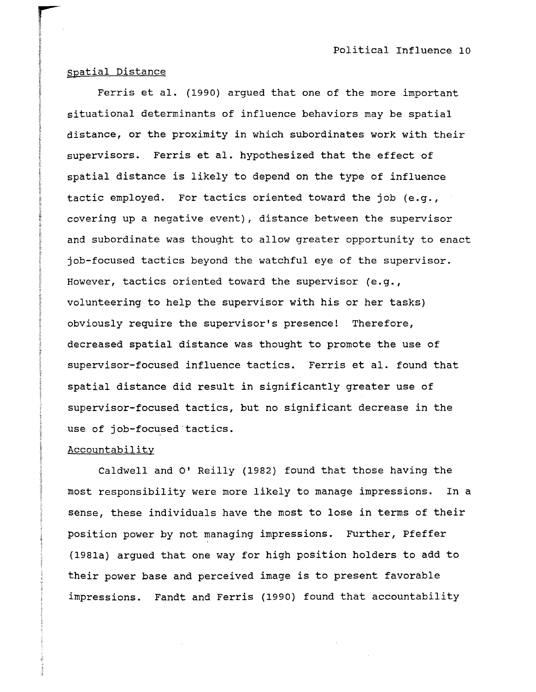# spatial Distance

Ferris et al. (1990) argued that one of the more important situational determinants of influence behaviors may be spatial distance, or the proximity in which subordinates work with their supervisors. Ferris et al. hypothesized that the effect of spatial distance is likely to depend on the type of influence tactic employed. For tactics oriented toward the job (e.g., covering up a negative event), distance between the supervisor and subordinate was thought to allow greater opportunity to enact job-focused tactics beyond the watchful eye of the supervisor. However, tactics oriented toward the supervisor (e.g., volunteering to help the supervisor with his or her tasks) obviously require the supervisor's presence! Therefore, decreased spatial distance was thought to promote the use of supervisor-focused influence tactics. Ferris et al. found that spatial distance did result in significantly greater use of supervisor-focused tactics, but no significant decrease in the use of job-focused tactics.

# **Accountability**

Caldwell and O' Reilly (1982) found that those having the most responsibility were more likely to manage impressions. In a sense, these individuals have the most to lose in terms of their position power by not managing impressions. Further, Pfeffer (1981a) argued that one way for high position holders to add to their power base and perceived image is to present favorable impressions. Fandt and Ferris (1990) found that accountability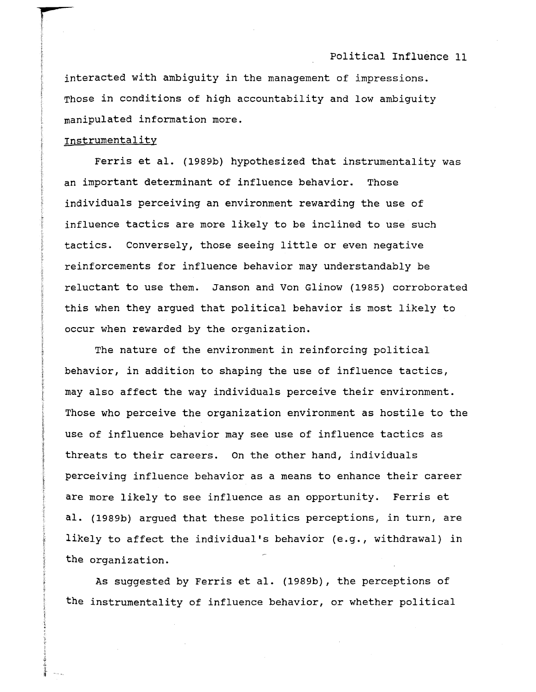interacted with ambiguity in the management of impressions. Those in conditions of high accountability and low ambiguity manipulated information more.

### Instrumentality

Ferris et al. (1989b) hypothesized that instrumentality was an important determinant of influence behavior. Those individuals perceiving an environment rewarding the use of influence tactics are more likely to be inclined to use such tactics. Conversely, those seeing little or even negative reinforcements for influence behavior may understandably be reluctant to use them. Janson and Von Glinow (1985) corroborated this when they argued that political behavior is most likely to occur when rewarded by the organization.

The nature of the environment in reinforcing political behavior, in addition to shaping the use of influence tactics, may also affect the way individuals perceive their environment. Those who perceive the organization environment as hostile to the use of influence behavior may see use of influence tactics as threats to their careers. On the other hand, individuals perceiving influence behavior as a means to enhance their career are more likely to see influence as an opportunity. Ferris et al. (1989b) argued that these politics perceptions, in turn, are likely to affect the individual's behavior (e.g., withdrawal) in the organization.

As suggested by Ferris et al. (1989b), the perceptions of the instrumentality of influence behavior, or whether political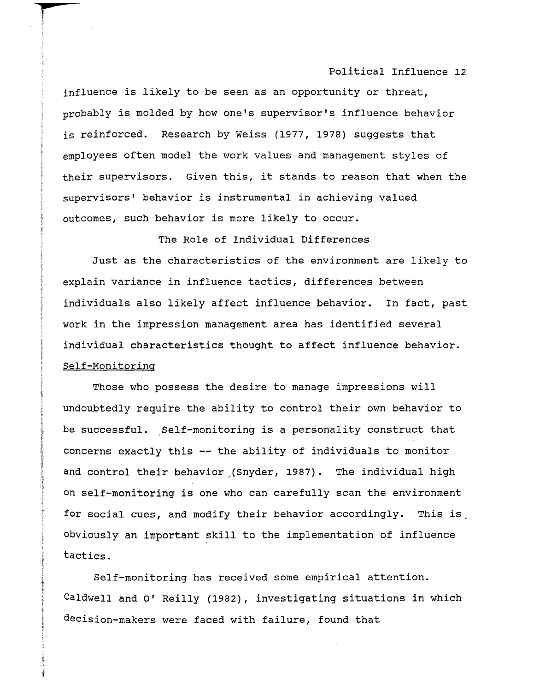influence is likely to be seen as an opportunity or threat, probably is molded by how one's supervisor's influence behavior is reinforced. Research by Weiss (1977, 1978) suggests that employees often model the work values and management styles of their supervisors. Given this, it stands to reason that when the supervisors' behavior is instrumental in aChieving valued outcomes, such behavior is more likely to occur.

The Role of Individual Differences

Just as the characteristics of the environment are likely to explain variance in influence tactics, differences between individuals also likely affect influence behavior. In fact, past work in the impression management area has identified several individual characteristics thought to affect influence behavior. Self-Monitoring

Those who possess the desire to manage impressions will undoubtedly require the ability to control their own behavior to be successful. Self-monitoring is a personality construct that concerns exactly this **--** the ability of individuals to monitor and control their behavior (Snyder, 1987). The individual high on self-monitoring is one who can carefully scan the environment for social cues, and modify their behavior accordingly. This is, obviously an important skill to the implementation of influence tactics.

Self-monitoring has received some empirical attention. Caldwell and 0' Reilly (1982), investigating situations in which decision-makers were faced with failure, found that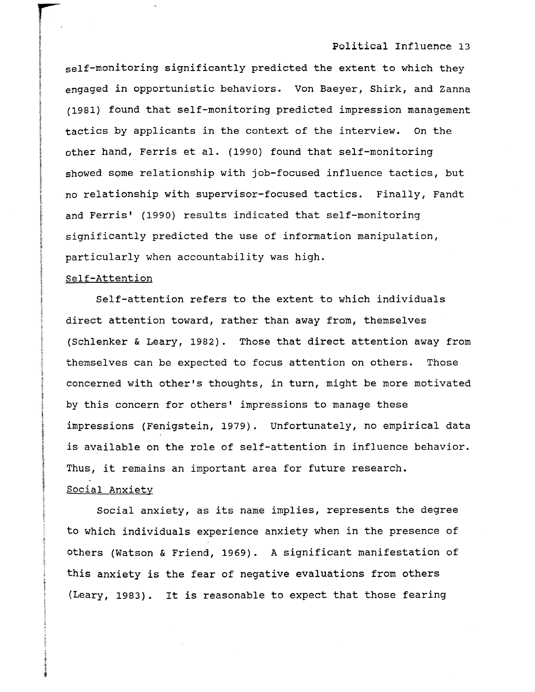self-monitoring significantly predicted the extent to which they engaged in opportunistic behaviors. Von Baeyer, Shirk, and Zanna (1981) found that self-monitoring predicted impression management tactics by applicants in the context of the interview. On the other hand, Ferris et al. (1990) found that self-monitoring showed some relationship with job-focused influence tactics, but no relationship with supervisor-focused tactics. Finally, Fandt and Ferris' (1990) results indicated that self-monitoring significantly predicted the use of information manipulation, particularly when accountability was high.

# Self-Attention

Self-attention refers to the extent to which individuals direct attention toward, rather than away from, themselves (Schlenker & Leary, 1982). Those that direct attention away from themselves can be expected to focus attention on others. Those concerned with other's thoughts, in turn, might be more motivated by this concern for others' impressions to manage these impressions (Fenigstein, 1979). Unfortunately, no empirical data is available on the role of self-attention in influence behavior. Thus, it remains an important area for future research. Social Anxietv

Social anxiety, as its name implies, represents the degree to which individuals experience anxiety when in the presence of others (Watson & Friend, 1969). A significant manifestation of this anxiety is the fear of negative evaluations from others (Leary, 1983). It is reasonable to expect that those fearing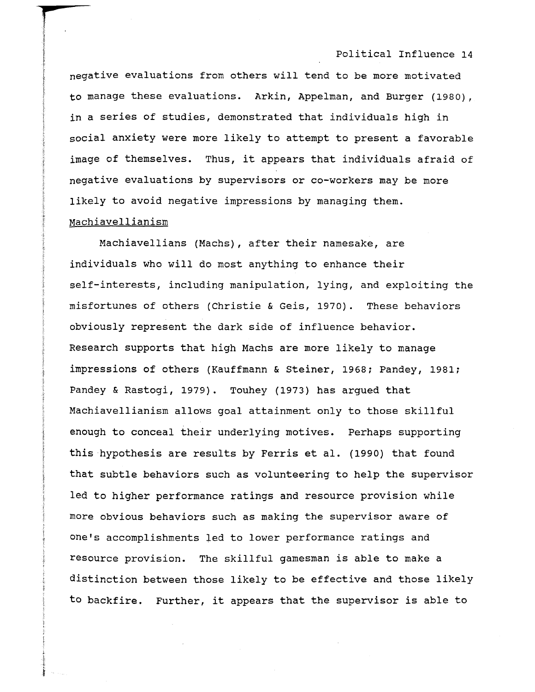negative evaluations from others will tend to be more motivated to manage these evaluations. Arkin, Appelman, and Burger (1980), in a series of studies, demonstrated that individuals high in social anxiety were more likely to attempt to present a favorable image of themselves. Thus, it appears that individuals afraid of negative evaluations by supervisors or co-workers may be more likely to avoid negative impressions by managing them. Machiavellianism

Machiavellians (Machs), after their namesake, are individuals who will do most anything to enhance their self-interests, including manipulation, lying, and exploiting the misfortunes of others (Christie & Geis, 1970). These behaviors obviously represent the dark side of influence behavior. Research supports that high Machs are more likely to manage impressions of others (Kauffmann & Steiner, 1968; Pandey, 1981; Pandey & Rastogi, 1979). Touhey (1973) has argued that Machiavellianism allows goal attainment only to those skillful enough to conceal their underlying motives. Perhaps supporting this hypothesis are results by Ferris et al. (1990) that found that subtle behaviors such as volunteering to help the supervisor led to higher performance ratings and resource provision while more obvious behaviors such as making the supervisor aware of one's accomplishments led to lower performance ratings and resource provision. The skillful gamesman is able to make a distinction between those likely to be effective and those likely to backfire. Further, it appears that the supervisor is able to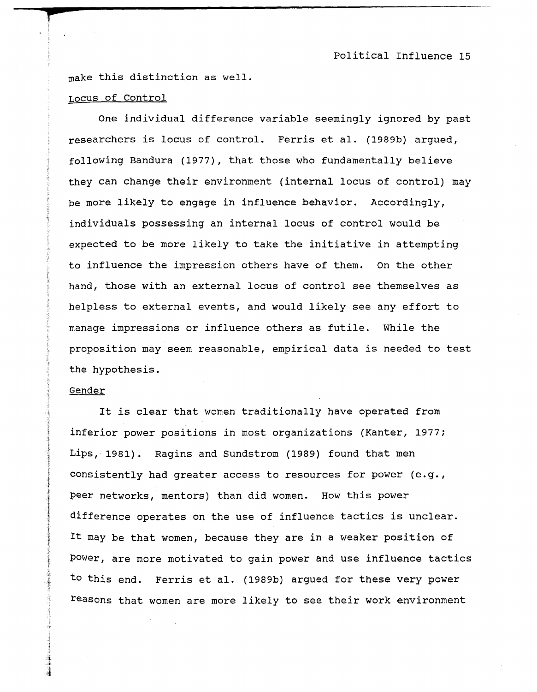make this distinction as well.

### LocUS of Control

r

One individual difference variable seemingly ignored by past researchers is locus of control. Ferris et al. (1989b) argued, following Bandura (1977), that those who fundamentally believe they can change their environment (internal locus of control) may be more likely to engage in influence behavior. Accordingly, individuals possessing an internal locus of control would be expected to be more likely to take the initiative in attempting to influence the impression others have of them. On the other hand, those with an external locus of control see themselves as helpless to external events, and would likely see any effort to manage impressions or influence others as futile. While the proposition may seem reasonable, empirical data is needed to test the hypothesis.

#### Gender

It is clear that women traditionally have operated from inferior power positions in most organizations (Kanter, 1977; Lips, 1981). Ragins and Sundstrom (1989) found that men consistently had greater access to resources for power (e.g., peer networks, mentors) than did women. How this power difference operates on the use of influence tactics is unclear. It may be that women, because they are in a weaker position of power, are more motivated to gain power and use influence tactics to this end. Ferris et al. (1989b) argued for these very power reasons that women are more likely to see their work environment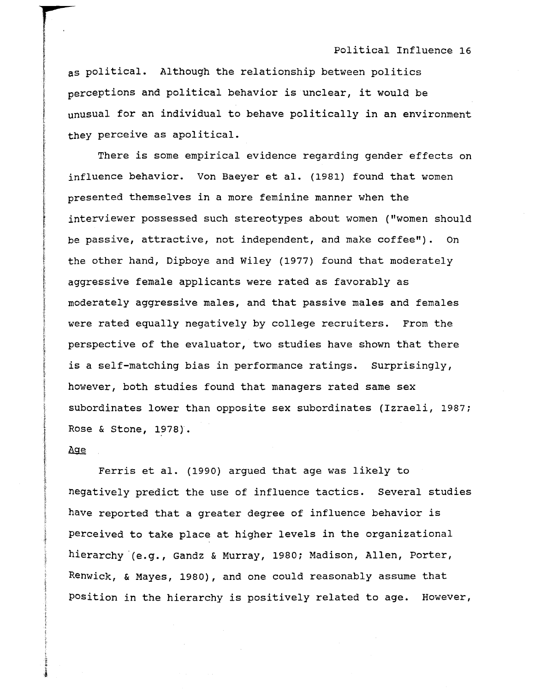as political. Although the relationship between politics perceptions and political behavior is unclear, it would be unusual for an individual to behave politically in an environment they perceive as apolitical.

There is some empirical evidence regarding gender effects on influence behavior. Von Baeyer et al. (1981) found that women presented themselves in a more feminine manner when the interviewer possessed such stereotypes about women ("women should be passive, attractive, not independent, and make coffee"). On the other hand, Dipboye and Wiley (1977) found that moderately aggressive female applicants were rated as favorably as moderately aggressive males, and that passive males and females were rated equally negatively by college recruiters. From the perspective of the evaluator, two studies have shown that there is a self-matching bias in performance ratings. Surprisingly, however, both studies found that managers rated same sex subordinates lower than opposite sex subordinates (Izraeli, 1987; Rose & Stone, 1978).

#### Age

Ferris et al. (1990) argued that age was likely to negatively predict the use of influence tactics. Several studies have reported that a greater degree of influence behavior is perceived to take place at higher levels in the organizational hierarchy '(e.g., Gandz & Murray, 1980; Madison, Allen, Porter, Renwick, & Mayes, 1980), and one could reasonably assume that Position in the hierarchy is positively related to age. However,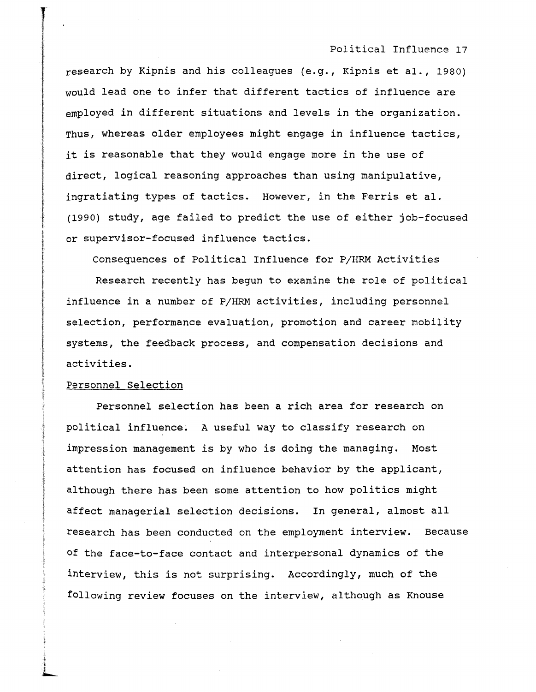research by Kipnis and his colleagues (e.g., Kipnis et al., 1980) would lead one to infer that different tactics of influence are employed in different situations and levels in the organization. Thus, whereas older employees might engage in influence tactics, it is reasonable that they would engage more in the use of direct, logical reasoning approaches than using manipulative, ingratiating types of tactics. However, in the Ferris et al. (1990) study, age failed to predict the use of either job-focused or supervisor-focused influence tactics.

Consequences of Political Influence for P/HRM Activities

Research recently has begun to examine the role of political influence in a number of P/HRM activities, including personnel selection, performance evaluation, promotion and career mobility systems, the feedback process, and compensation decisions and activities.

# Personnel Selection

Personnel selection has been a rich area for research on political influence. A useful way to classify research on impression management is by who is doing the managing. Most attention has focused on influence behavior by the applicant, although there has been some attention to how politics might affect managerial selection decisions. In general, almost all research has been conducted on the employment interview. Because of the face-to-face contact and interpersonal dynamics of the interview, this is not surprising. Accordingly, much of the following review focuses on the interview, although as Knouse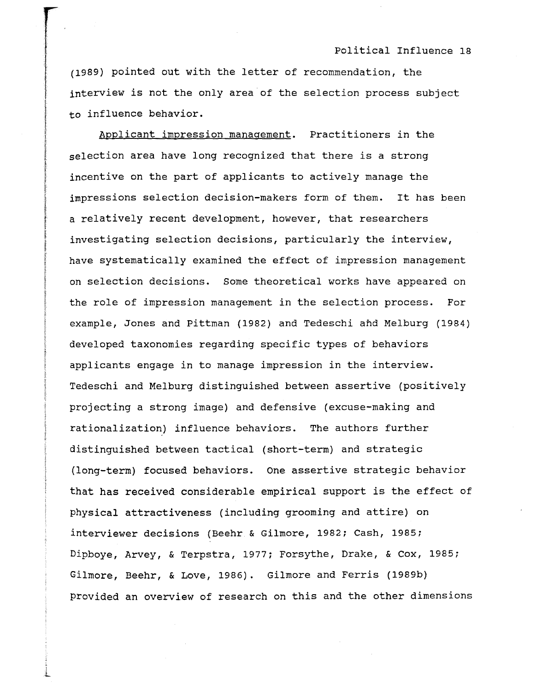(1989) pointed out with the letter of recommendation, the interview is not the only area of the selection process subject to influence behavior.

Applicant impression manaqement. Practitioners in the selection area have long recognized that there is a strong incentive on the part of applicants to actively manage the impressions selection decision-makers form of them. **It** has been a relatively recent development, however, that researchers investigating selection decisions, particularly the interview, have systematically examined the effect of impression management on selection decisions. Some theoretical works have appeared on the role of impression management in the selection process. For example, Jones and Pittman (1982) and Tedeschi and Melburg (1984) developed taxonomies regarding specific types of behaviors applicants engage in to manage impression in the interview. Tedeschi and Melburg distinguished between assertive (positively projecting a strong image) and defensive (excuse-making and rationalization) influence behaviors. The authors further distinguished between tactical (short-term) and strategic (long-term) focused behaviors. One assertive strategic behavior that has received considerable empirical support is the effect of physical attractiveness (including grooming and attire) on interviewer decisions (Beehr & Gilmore, 1982; Cash, 1985; Dipboye, Arvey, & Terpstra, 1977; Forsythe, Drake, & Cox, 1985; Gilmore, Beehr, & Love, 1986). Gilmore and Ferris (1989b) provided an overview of research on this and the other dimensions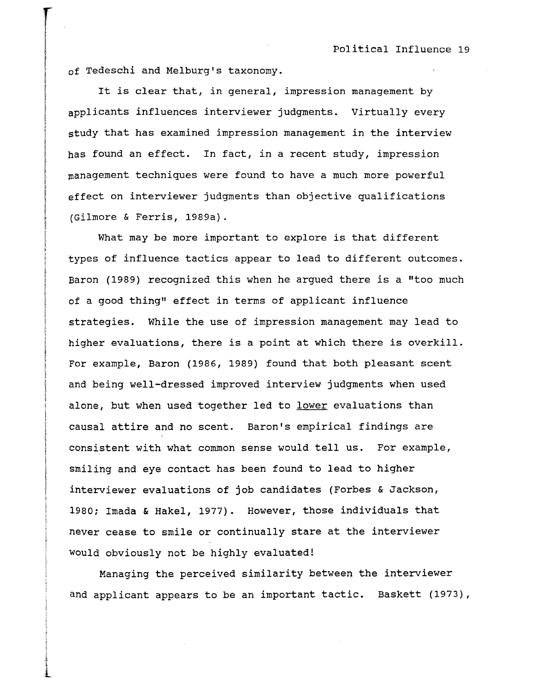of Tedeschi and Melburg's taxonomy.

It is clear that, in general, impression management by applicants influences interviewer judgments. Virtually every study that has examined impression management in the interview has found an effect. In fact, in a recent study, impression management techniques were found to have a much more powerful effect on interviewer judgments than objective qualifications (Gilmore & Ferris, 1989a).

What may be more important to explore is that different types of influence tactics appear to lead to different outcomes. Baron (1989) recognized this when he argued there is a "too much of a good thing" effect in terms of applicant influence strategies. While the use of impression management may lead to higher evaluations, there is a point at which there is overkill. For example, Baron (1986, 1989) found that both pleasant scent and being well-dressed improved interview judgments when used alone, but when used together led to lower evaluations than causal attire and no scent. Baron's empirical findings are consistent with what common sense would tell us. For example, smiling and eye contact has been found to lead to higher interviewer evaluations of job candidates (Forbes & Jackson, 1980; Imada & Hakel, 1977). However, those individuals that never cease to smile or continually stare at the interviewer would obviously not be highly evaluated!

Managing the perceived similarity between the interviewer and applicant appears to be an important tactic. Baskett (1973),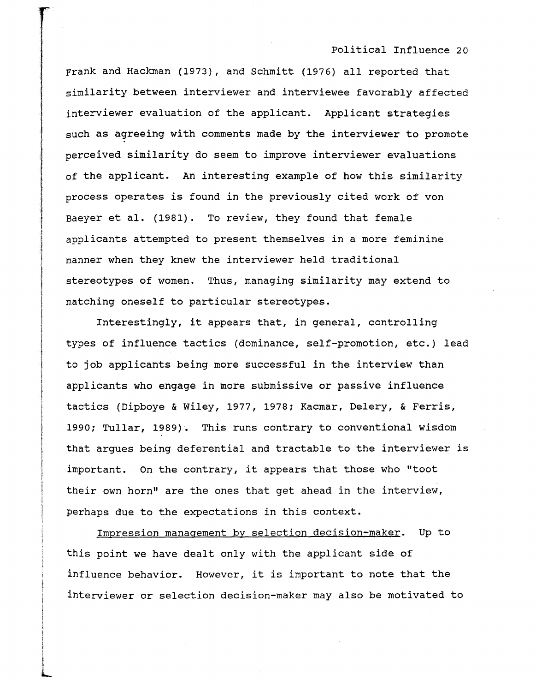Frank and Hackman (1973), and Schmitt (1976) all reported that similarity between interviewer and interviewee favorably affected interviewer evaluation of the applicant. Applicant strategies such as agreeing with comments made by the interviewer to promote perceived similarity do seem to improve interviewer evaluations of the applicant. An interesting example of how this similarity process operates is found in the previously cited work of von Baeyer et al. (1981). To review, they found that female applicants attempted to present themselves in a more feminine manner when they knew the interviewer held traditional stereotypes of women. Thus, managing similarity may extend to matching oneself to particular stereotypes.

Interestingly, it appears that, in general, controlling types of influence tactics (dominance, self-promotion, etc.) lead to job applicants being more successful in the interview than applicants who engage in more submissive or passive influence tactics (Dipboye & Wiley, 1977, 1978; Kacmar, Delery, & Ferris, 1990; Tullar, 1989). This runs contrary to conventional wisdom that argues being deferential and tractable to the interviewer is important. On the contrary, it appears that those who "toot their own horn" are the ones that get ahead in the interview, perhaps due to the expectations in this context.

Impression manaqement by selection decision-maker. Up to this point we have dealt only with the applicant side of influence behavior. However, it is important to note that the interviewer or selection decision-maker may also be motivated to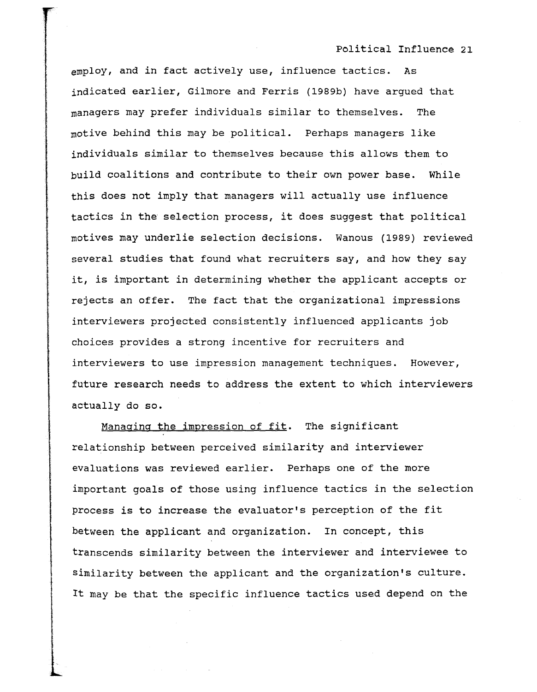employ, and in fact actively use, influence tactics. As indicated earlier, Gilmore and Ferris (1989b) have argued that managers may prefer individuals similar to themselves. The motive behind this may be political. Perhaps managers like individuals similar to themselves because this allows them to build coalitions and contribute to their own power base. While this does not imply that managers will actually use influence tactics in the selection process, it does suggest that political motives may underlie selection decisions. Wanous (1989) reviewed several studies that found what recruiters say, and how they say it, is important in determining whether the applicant accepts or rejects an offer. The fact that the organizational impressions interviewers projected consistently influenced applicants job choices provides a strong incentive for recruiters and interviewers to use impression management techniques. However, future research needs to address the extent to which interviewers actually do so.

Manaqing the impression of fit. The significant relationship between perceived similarity and interviewer evaluations was reviewed earlier. Perhaps one of the more important goals of those using influence tactics in the selection process is to increase the evaluator's perception of the fit between the applicant and organization. In concept, this transcends similarity between the interviewer and interviewee to similarity between the applicant and the organization's culture. It may be that the specific influence tactics used depend on the